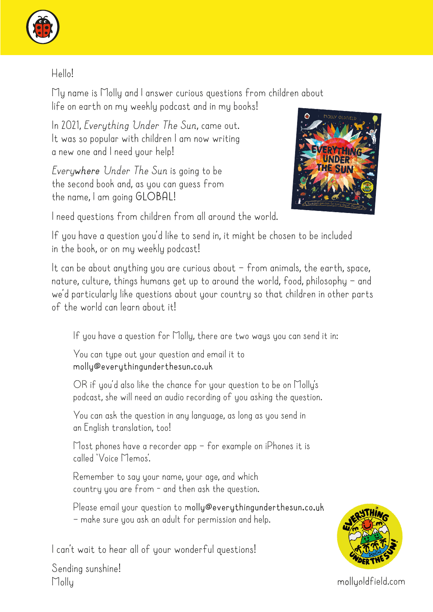

## Hello!

My name is Molly and I answer curious questions from children about life on earth on my weekly podcast and in my books!

In 2021, *Everything Under The Sun*, came out. It was so popular with children I am now writing a new one and I need your help!

*Everywhere Under The Sun* is going to be the second book and, as you can guess from the name, I am going **GLOBAL**!



I need questions from children from all around the world.

If you have a question you'd like to send in, it might be chosen to be included in the book, or on my weekly podcast!

It can be about anything you are curious about  $-$  from animals, the earth, space, nature, culture, things humans get up to around the world, food, philosophy – and we'd particularly like questions about your country so that children in other parts of the world can learn about it!

If you have a question for Molly, there are two ways you can send it in:

You can tupe out your question and email it to **molly@everythingunderthesun.co.uk**

OR if you'd also like the chance for your question to be on Molly's podcast, she will need an audio recording of you asking the question.

You can ask the question in any language, as long as you send in an English translation, too!

Most phones have a recorder app – for example on iPhones it is called 'Voice Memos'.

Remember to say your name, your age, and which country you are from - and then ask the question.

Please email your question to **molly@everythingunderthesun.co.uk** – make sure you ask an adult for permission and help.

I can't wait to hear all of your wonderful questions!



Sending sunshine! Molly mollyoldfield.com